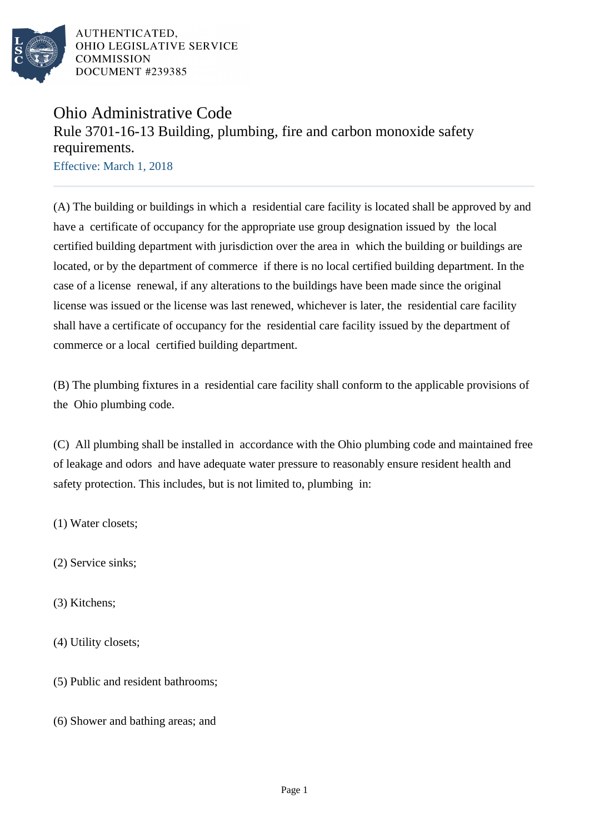

# Ohio Administrative Code Rule 3701-16-13 Building, plumbing, fire and carbon monoxide safety requirements.

Effective: March 1, 2018

(A) The building or buildings in which a residential care facility is located shall be approved by and have a certificate of occupancy for the appropriate use group designation issued by the local certified building department with jurisdiction over the area in which the building or buildings are located, or by the department of commerce if there is no local certified building department. In the case of a license renewal, if any alterations to the buildings have been made since the original license was issued or the license was last renewed, whichever is later, the residential care facility shall have a certificate of occupancy for the residential care facility issued by the department of commerce or a local certified building department.

(B) The plumbing fixtures in a residential care facility shall conform to the applicable provisions of the Ohio plumbing code.

(C) All plumbing shall be installed in accordance with the Ohio plumbing code and maintained free of leakage and odors and have adequate water pressure to reasonably ensure resident health and safety protection. This includes, but is not limited to, plumbing in:

(1) Water closets;

(2) Service sinks;

(3) Kitchens;

(4) Utility closets;

(5) Public and resident bathrooms;

(6) Shower and bathing areas; and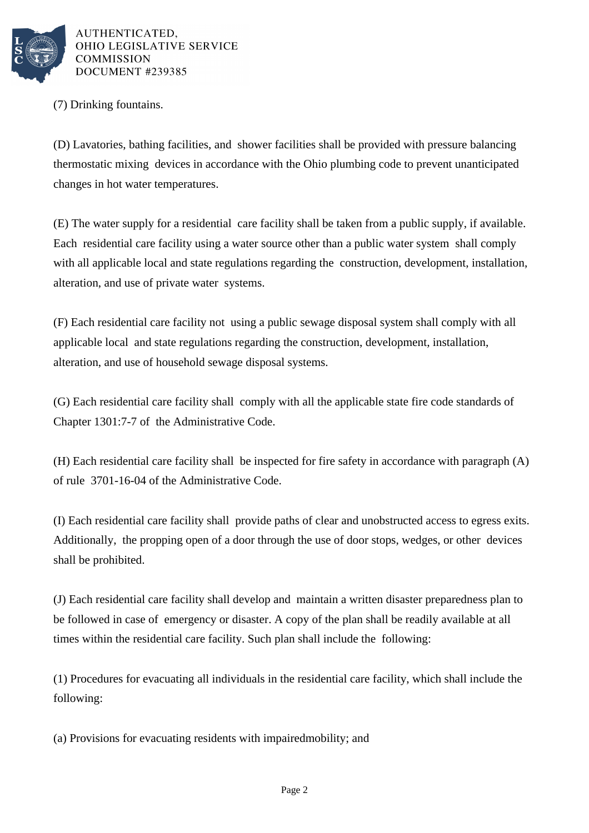

(7) Drinking fountains.

(D) Lavatories, bathing facilities, and shower facilities shall be provided with pressure balancing thermostatic mixing devices in accordance with the Ohio plumbing code to prevent unanticipated changes in hot water temperatures.

(E) The water supply for a residential care facility shall be taken from a public supply, if available. Each residential care facility using a water source other than a public water system shall comply with all applicable local and state regulations regarding the construction, development, installation, alteration, and use of private water systems.

(F) Each residential care facility not using a public sewage disposal system shall comply with all applicable local and state regulations regarding the construction, development, installation, alteration, and use of household sewage disposal systems.

(G) Each residential care facility shall comply with all the applicable state fire code standards of Chapter 1301:7-7 of the Administrative Code.

(H) Each residential care facility shall be inspected for fire safety in accordance with paragraph (A) of rule 3701-16-04 of the Administrative Code.

(I) Each residential care facility shall provide paths of clear and unobstructed access to egress exits. Additionally, the propping open of a door through the use of door stops, wedges, or other devices shall be prohibited.

(J) Each residential care facility shall develop and maintain a written disaster preparedness plan to be followed in case of emergency or disaster. A copy of the plan shall be readily available at all times within the residential care facility. Such plan shall include the following:

(1) Procedures for evacuating all individuals in the residential care facility, which shall include the following:

(a) Provisions for evacuating residents with impaired mobility; and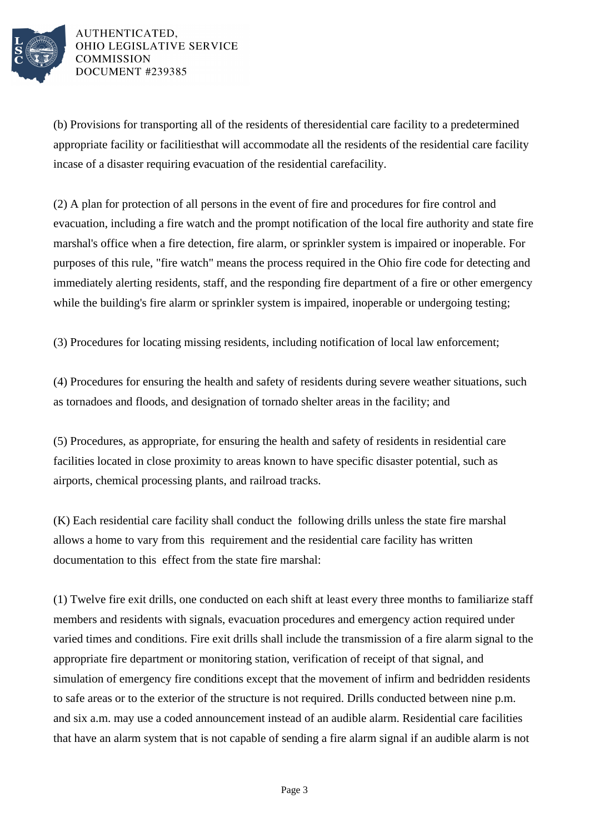

(b) Provisions for transporting all of the residents of the residential care facility to a predetermined appropriate facility or facilities that will accommodate all the residents of the residential care facility in case of a disaster requiring evacuation of the residential care facility.

(2) A plan for protection of all persons in the event of fire and procedures for fire control and evacuation, including a fire watch and the prompt notification of the local fire authority and state fire marshal's office when a fire detection, fire alarm, or sprinkler system is impaired or inoperable. For purposes of this rule, "fire watch" means the process required in the Ohio fire code for detecting and immediately alerting residents, staff, and the responding fire department of a fire or other emergency while the building's fire alarm or sprinkler system is impaired, inoperable or undergoing testing;

(3) Procedures for locating missing residents, including notification of local law enforcement;

(4) Procedures for ensuring the health and safety of residents during severe weather situations, such as tornadoes and floods, and designation of tornado shelter areas in the facility; and

(5) Procedures, as appropriate, for ensuring the health and safety of residents in residential care facilities located in close proximity to areas known to have specific disaster potential, such as airports, chemical processing plants, and railroad tracks.

(K) Each residential care facility shall conduct the following drills unless the state fire marshal allows a home to vary from this requirement and the residential care facility has written documentation to this effect from the state fire marshal:

(1) Twelve fire exit drills, one conducted on each shift at least every three months to familiarize staff members and residents with signals, evacuation procedures and emergency action required under varied times and conditions. Fire exit drills shall include the transmission of a fire alarm signal to the appropriate fire department or monitoring station, verification of receipt of that signal, and simulation of emergency fire conditions except that the movement of infirm and bedridden residents to safe areas or to the exterior of the structure is not required. Drills conducted between nine p.m. and six a.m. may use a coded announcement instead of an audible alarm. Residential care facilities that have an alarm system that is not capable of sending a fire alarm signal if an audible alarm is not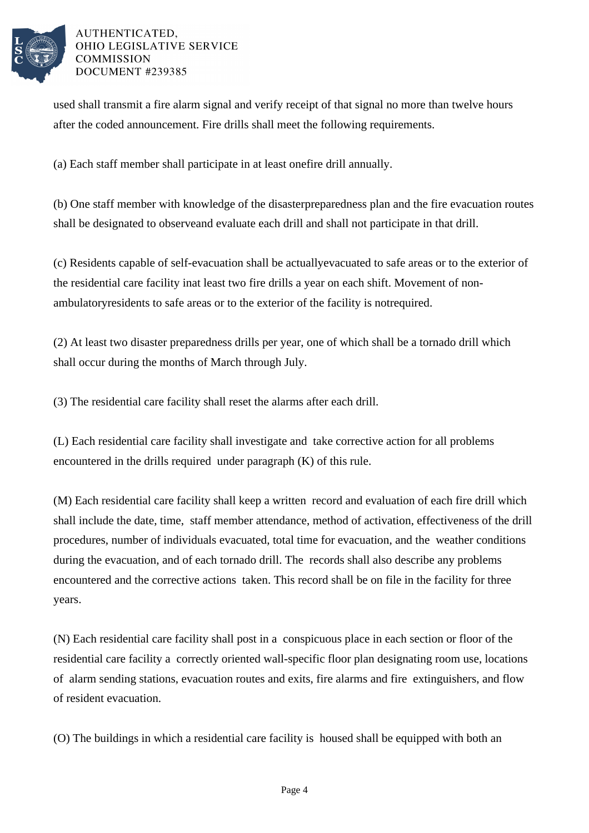

used shall transmit a fire alarm signal and verify receipt of that signal no more than twelve hours after the coded announcement. Fire drills shall meet the following requirements.

(a) Each staff member shall participate in at least one fire drill annually.

(b) One staff member with knowledge of the disaster preparedness plan and the fire evacuation routes shall be designated to observe and evaluate each drill and shall not participate in that drill.

(c) Residents capable of self-evacuation shall be actually evacuated to safe areas or to the exterior of the residential care facility in at least two fire drills a year on each shift. Movement of nonambulatory residents to safe areas or to the exterior of the facility is not required.

(2) At least two disaster preparedness drills per year, one of which shall be a tornado drill which shall occur during the months of March through July.

(3) The residential care facility shall reset the alarms after each drill.

(L) Each residential care facility shall investigate and take corrective action for all problems encountered in the drills required under paragraph (K) of this rule.

(M) Each residential care facility shall keep a written record and evaluation of each fire drill which shall include the date, time, staff member attendance, method of activation, effectiveness of the drill procedures, number of individuals evacuated, total time for evacuation, and the weather conditions during the evacuation, and of each tornado drill. The records shall also describe any problems encountered and the corrective actions taken. This record shall be on file in the facility for three years.

(N) Each residential care facility shall post in a conspicuous place in each section or floor of the residential care facility a correctly oriented wall-specific floor plan designating room use, locations of alarm sending stations, evacuation routes and exits, fire alarms and fire extinguishers, and flow of resident evacuation.

(O) The buildings in which a residential care facility is housed shall be equipped with both an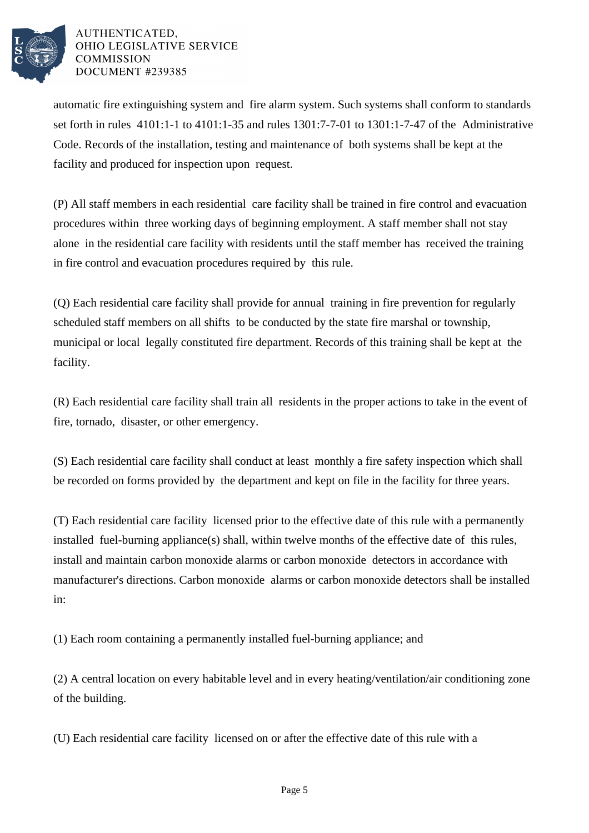

automatic fire extinguishing system and fire alarm system. Such systems shall conform to standards set forth in rules 4101:1-1 to 4101:1-35 and rules 1301:7-7-01 to 1301:1-7-47 of the Administrative Code. Records of the installation, testing and maintenance of both systems shall be kept at the facility and produced for inspection upon request.

(P) All staff members in each residential care facility shall be trained in fire control and evacuation procedures within three working days of beginning employment. A staff member shall not stay alone in the residential care facility with residents until the staff member has received the training in fire control and evacuation procedures required by this rule.

(Q) Each residential care facility shall provide for annual training in fire prevention for regularly scheduled staff members on all shifts to be conducted by the state fire marshal or township, municipal or local legally constituted fire department. Records of this training shall be kept at the facility.

(R) Each residential care facility shall train all residents in the proper actions to take in the event of fire, tornado, disaster, or other emergency.

(S) Each residential care facility shall conduct at least monthly a fire safety inspection which shall be recorded on forms provided by the department and kept on file in the facility for three years.

(T) Each residential care facility licensed prior to the effective date of this rule with a permanently installed fuel-burning appliance(s) shall, within twelve months of the effective date of this rules, install and maintain carbon monoxide alarms or carbon monoxide detectors in accordance with manufacturer's directions. Carbon monoxide alarms or carbon monoxide detectors shall be installed in:

(1) Each room containing a permanently installed fuel-burning appliance; and

(2) A central location on every habitable level and in every heating/ventilation/air conditioning zone of the building.

(U) Each residential care facility licensed on or after the effective date of this rule with a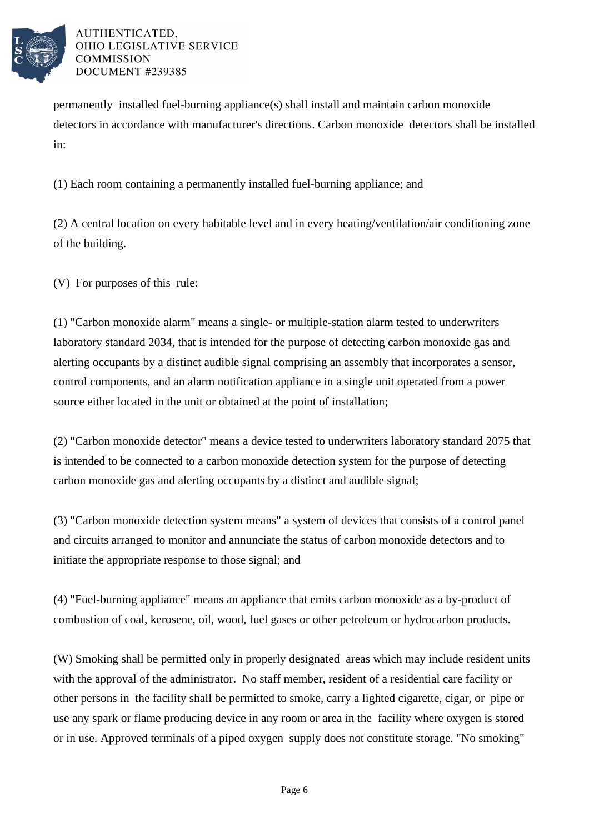

permanently installed fuel-burning appliance(s) shall install and maintain carbon monoxide detectors in accordance with manufacturer's directions. Carbon monoxide detectors shall be installed in:

(1) Each room containing a permanently installed fuel-burning appliance; and

(2) A central location on every habitable level and in every heating/ventilation/air conditioning zone of the building.

(V) For purposes of this rule:

(1) "Carbon monoxide alarm" means a single- or multiple-station alarm tested to underwriters laboratory standard 2034, that is intended for the purpose of detecting carbon monoxide gas and alerting occupants by a distinct audible signal comprising an assembly that incorporates a sensor, control components, and an alarm notification appliance in a single unit operated from a power source either located in the unit or obtained at the point of installation;

(2) "Carbon monoxide detector" means a device tested to underwriters laboratory standard 2075 that is intended to be connected to a carbon monoxide detection system for the purpose of detecting carbon monoxide gas and alerting occupants by a distinct and audible signal;

(3) "Carbon monoxide detection system means" a system of devices that consists of a control panel and circuits arranged to monitor and annunciate the status of carbon monoxide detectors and to initiate the appropriate response to those signal; and

(4) "Fuel-burning appliance" means an appliance that emits carbon monoxide as a by-product of combustion of coal, kerosene, oil, wood, fuel gases or other petroleum or hydrocarbon products.

(W) Smoking shall be permitted only in properly designated areas which may include resident units with the approval of the administrator. No staff member, resident of a residential care facility or other persons in the facility shall be permitted to smoke, carry a lighted cigarette, cigar, or pipe or use any spark or flame producing device in any room or area in the facility where oxygen is stored or in use. Approved terminals of a piped oxygen supply does not constitute storage. "No smoking"